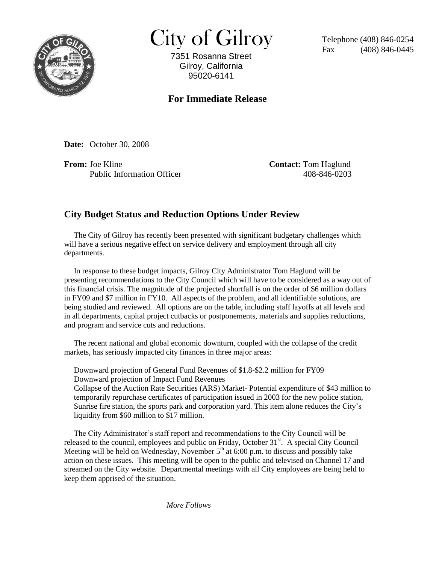

 $City of Gilroy$  Telephone (408) 846-0254

7351 Rosanna Street Gilroy, California 95020-6141

 $(408)$  846-0445

## **For Immediate Release**

**Date:** October 30, 2008

**From:** Joe Kline **Contact:** Tom Haglund Public Information Officer 408-846-0203

## **City Budget Status and Reduction Options Under Review**

 The City of Gilroy has recently been presented with significant budgetary challenges which will have a serious negative effect on service delivery and employment through all city departments.

 In response to these budget impacts, Gilroy City Administrator Tom Haglund will be presenting recommendations to the City Council which will have to be considered as a way out of this financial crisis. The magnitude of the projected shortfall is on the order of \$6 million dollars in FY09 and \$7 million in FY10. All aspects of the problem, and all identifiable solutions, are being studied and reviewed. All options are on the table, including staff layoffs at all levels and in all departments, capital project cutbacks or postponements, materials and supplies reductions, and program and service cuts and reductions.

 The recent national and global economic downturn, coupled with the collapse of the credit markets, has seriously impacted city finances in three major areas:

 Downward projection of General Fund Revenues of \$1.8-\$2.2 million for FY09 Downward projection of Impact Fund Revenues

 Collapse of the Auction Rate Securities (ARS) Market- Potential expenditure of \$43 million to temporarily repurchase certificates of participation issued in 2003 for the new police station, Sunrise fire station, the sports park and corporation yard. This item alone reduces the City's liquidity from \$60 million to \$17 million.

 The City Administrator's staff report and recommendations to the City Council will be released to the council, employees and public on Friday, October  $31<sup>st</sup>$ . A special City Council Meeting will be held on Wednesday, November  $5<sup>th</sup>$  at 6:00 p.m. to discuss and possibly take action on these issues. This meeting will be open to the public and televised on Channel 17 and streamed on the City website. Departmental meetings with all City employees are being held to keep them apprised of the situation.

*More Follows*